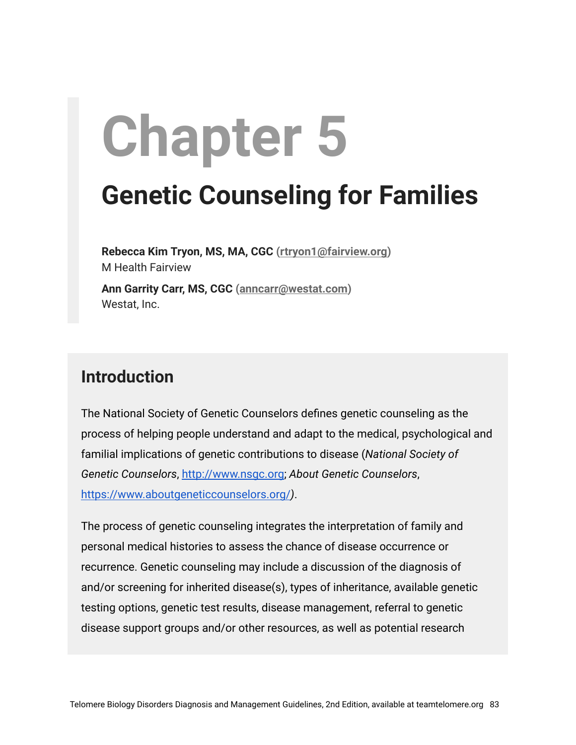# **Chapter 5**

# **Genetic Counseling for Families**

**Rebecca Kim Tryon, MS, MA, CGC ([rtryon1@fairview.org\)](mailto:rtryon1@fairview.org)** M Health Fairview **Ann Garrity Carr, MS, CGC ([anncarr@westat.com\)](mailto:anncarr@westat.com)** Westat, Inc.

#### **Introduction**

The National Society of Genetic Counselors defines genetic counseling as the process of helping people understand and adapt to the medical, psychological and familial implications of genetic contributions to disease (*National Society of Genetic Counselors*, [http://www.nsgc.org](http://www.nsgc.org/); *About Genetic Counselors*, <https://www.aboutgeneticcounselors.org/>*)*.

The process of genetic counseling integrates the interpretation of family and personal medical histories to assess the chance of disease occurrence or recurrence. Genetic counseling may include a discussion of the diagnosis of and/or screening for inherited disease(s), types of inheritance, available genetic testing options, genetic test results, disease management, referral to genetic disease support groups and/or other resources, as well as potential research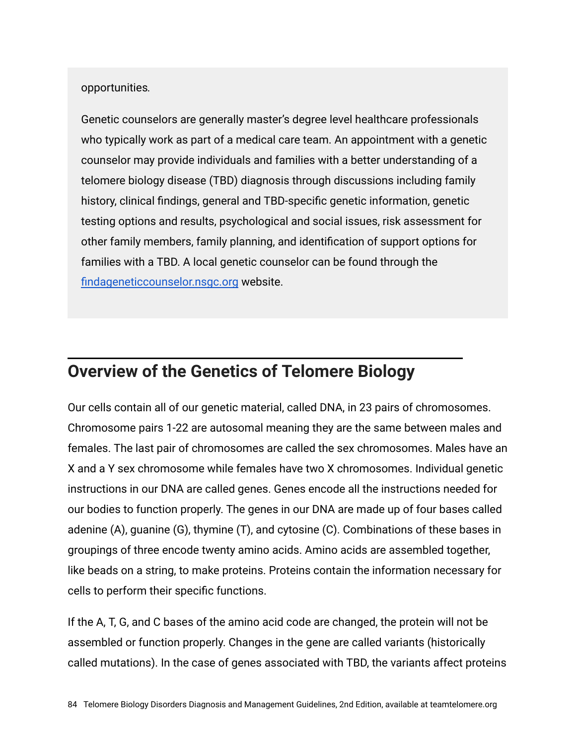#### opportunities*.*

Genetic counselors are generally master's degree level healthcare professionals who typically work as part of a medical care team. An appointment with a genetic counselor may provide individuals and families with a better understanding of a telomere biology disease (TBD) diagnosis through discussions including family history, clinical findings, general and TBD-specific genetic information, genetic testing options and results, psychological and social issues, risk assessment for other family members, family planning, and identification of support options for families with a TBD. A local genetic counselor can be found through the [findageneticcounselor.nsgc.org](http://findageneticcounselor.nsgc.org/) website.

### **Overview of the Genetics of Telomere Biology**

Our cells contain all of our genetic material, called DNA, in 23 pairs of chromosomes. Chromosome pairs 1-22 are autosomal meaning they are the same between males and females. The last pair of chromosomes are called the sex chromosomes. Males have an X and a Y sex chromosome while females have two X chromosomes. Individual genetic instructions in our DNA are called genes. Genes encode all the instructions needed for our bodies to function properly. The genes in our DNA are made up of four bases called adenine (A), guanine (G), thymine (T), and cytosine (C). Combinations of these bases in groupings of three encode twenty amino acids. Amino acids are assembled together, like beads on a string, to make proteins. Proteins contain the information necessary for cells to perform their specific functions.

If the A, T, G, and C bases of the amino acid code are changed, the protein will not be assembled or function properly. Changes in the gene are called variants (historically called mutations). In the case of genes associated with TBD, the variants affect proteins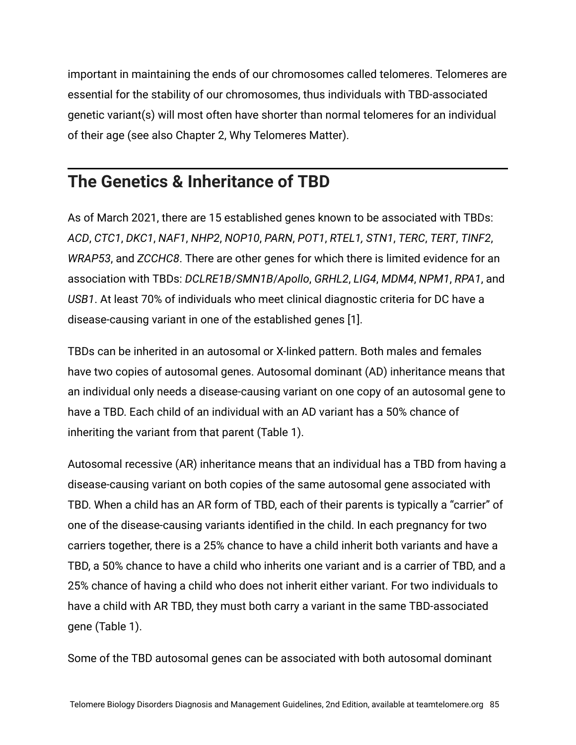important in maintaining the ends of our chromosomes called telomeres. Telomeres are essential for the stability of our chromosomes, thus individuals with TBD-associated genetic variant(s) will most often have shorter than normal telomeres for an individual of their age (see also Chapter 2, Why Telomeres Matter).

# **The Genetics & Inheritance of TBD**

As of March 2021, there are 15 established genes known to be associated with TBDs: *ACD*, *CTC1*, *DKC1*, *NAF1*, *NHP2*, *NOP10*, *PARN*, *POT1*, *RTEL1, STN1*, *TERC*, *TERT*, *TINF2*, *WRAP53*, and *ZCCHC8*. There are other genes for which there is limited evidence for an association with TBDs: *DCLRE1B*/*SMN1B*/*Apollo*, *GRHL2*, *LIG4*, *MDM4*, *NPM1*, *RPA1*, and *USB1*. At least 70% of individuals who meet clinical diagnostic criteria for DC have a disease-causing variant in one of the established genes [1].

TBDs can be inherited in an autosomal or X-linked pattern. Both males and females have two copies of autosomal genes. Autosomal dominant (AD) inheritance means that an individual only needs a disease-causing variant on one copy of an autosomal gene to have a TBD. Each child of an individual with an AD variant has a 50% chance of inheriting the variant from that parent (Table 1).

Autosomal recessive (AR) inheritance means that an individual has a TBD from having a disease-causing variant on both copies of the same autosomal gene associated with TBD. When a child has an AR form of TBD, each of their parents is typically a "carrier" of one of the disease-causing variants identified in the child. In each pregnancy for two carriers together, there is a 25% chance to have a child inherit both variants and have a TBD, a 50% chance to have a child who inherits one variant and is a carrier of TBD, and a 25% chance of having a child who does not inherit either variant. For two individuals to have a child with AR TBD, they must both carry a variant in the same TBD-associated gene (Table 1).

Some of the TBD autosomal genes can be associated with both autosomal dominant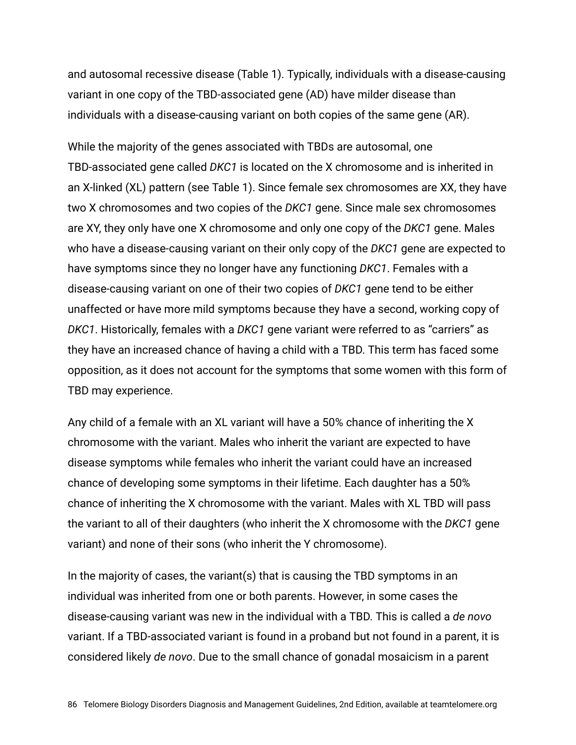and autosomal recessive disease (Table 1). Typically, individuals with a disease-causing variant in one copy of the TBD-associated gene (AD) have milder disease than individuals with a disease-causing variant on both copies of the same gene (AR).

While the majority of the genes associated with TBDs are autosomal, one TBD-associated gene called *DKC1* is located on the X chromosome and is inherited in an X-linked (XL) pattern (see Table 1). Since female sex chromosomes are XX, they have two X chromosomes and two copies of the *DKC1* gene. Since male sex chromosomes are XY, they only have one X chromosome and only one copy of the *DKC1* gene. Males who have a disease-causing variant on their only copy of the *DKC1* gene are expected to have symptoms since they no longer have any functioning *DKC1*. Females with a disease-causing variant on one of their two copies of *DKC1* gene tend to be either unaffected or have more mild symptoms because they have a second, working copy of *DKC1*. Historically, females with a *DKC1* gene variant were referred to as "carriers" as they have an increased chance of having a child with a TBD. This term has faced some opposition, as it does not account for the symptoms that some women with this form of TBD may experience.

Any child of a female with an XL variant will have a 50% chance of inheriting the X chromosome with the variant. Males who inherit the variant are expected to have disease symptoms while females who inherit the variant could have an increased chance of developing some symptoms in their lifetime. Each daughter has a 50% chance of inheriting the X chromosome with the variant. Males with XL TBD will pass the variant to all of their daughters (who inherit the X chromosome with the *DKC1* gene variant) and none of their sons (who inherit the Y chromosome).

In the majority of cases, the variant(s) that is causing the TBD symptoms in an individual was inherited from one or both parents. However, in some cases the disease-causing variant was new in the individual with a TBD. This is called a *de novo* variant. If a TBD-associated variant is found in a proband but not found in a parent, it is considered likely *de novo*. Due to the small chance of gonadal mosaicism in a parent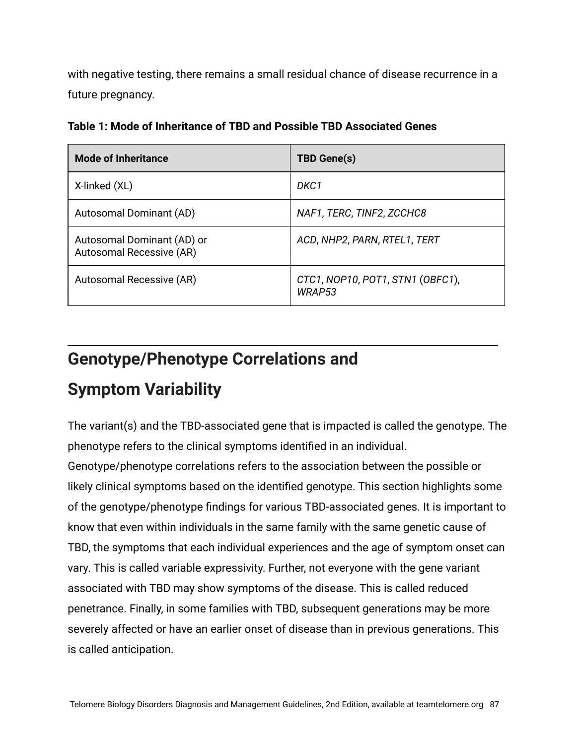with negative testing, there remains a small residual chance of disease recurrence in a future pregnancy.

| <b>Mode of Inheritance</b>                             | <b>TBD Gene(s)</b>                         |
|--------------------------------------------------------|--------------------------------------------|
| X-linked (XL)                                          | DKC1                                       |
| Autosomal Dominant (AD)                                | NAF1, TERC, TINF2, ZCCHC8                  |
| Autosomal Dominant (AD) or<br>Autosomal Recessive (AR) | ACD, NHP2, PARN, RTEL1, TERT               |
| Autosomal Recessive (AR)                               | CTC1, NOP10, POT1, STN1 (OBFC1),<br>WRAP53 |

**Table 1: Mode of Inheritance of TBD and Possible TBD Associated Genes**

#### **Genotype/Phenotype Correlations and**

# **Symptom Variability**

The variant(s) and the TBD-associated gene that is impacted is called the genotype. The phenotype refers to the clinical symptoms identified in an individual.

Genotype/phenotype correlations refers to the association between the possible or likely clinical symptoms based on the identified genotype. This section highlights some of the genotype/phenotype findings for various TBD-associated genes. It is important to know that even within individuals in the same family with the same genetic cause of TBD, the symptoms that each individual experiences and the age of symptom onset can vary. This is called variable expressivity. Further, not everyone with the gene variant associated with TBD may show symptoms of the disease. This is called reduced penetrance. Finally, in some families with TBD, subsequent generations may be more severely affected or have an earlier onset of disease than in previous generations. This is called anticipation.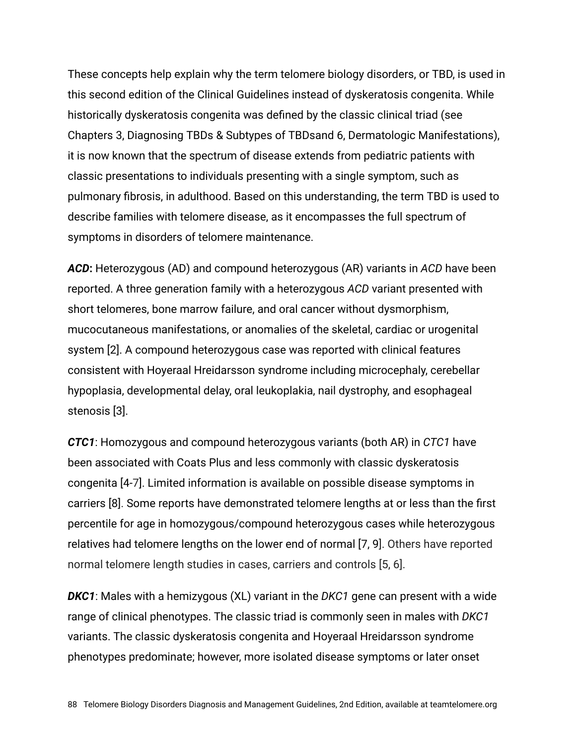These concepts help explain why the term telomere biology disorders, or TBD, is used in this second edition of the Clinical Guidelines instead of dyskeratosis congenita. While historically dyskeratosis congenita was defined by the classic clinical triad (see Chapters 3, Diagnosing TBDs & Subtypes of TBDsand 6, Dermatologic Manifestations), it is now known that the spectrum of disease extends from pediatric patients with classic presentations to individuals presenting with a single symptom, such as pulmonary fibrosis, in adulthood. Based on this understanding, the term TBD is used to describe families with telomere disease, as it encompasses the full spectrum of symptoms in disorders of telomere maintenance.

*ACD***:** Heterozygous (AD) and compound heterozygous (AR) variants in *ACD* have been reported. A three generation family with a heterozygous *ACD* variant presented with short telomeres, bone marrow failure, and oral cancer without dysmorphism, mucocutaneous manifestations, or anomalies of the skeletal, cardiac or urogenital system [2]. A compound heterozygous case was reported with clinical features consistent with Hoyeraal Hreidarsson syndrome including microcephaly, cerebellar hypoplasia, developmental delay, oral leukoplakia, nail dystrophy, and esophageal stenosis [3].

*CTC1*: Homozygous and compound heterozygous variants (both AR) in *CTC1* have been associated with Coats Plus and less commonly with classic dyskeratosis congenita [4-7]. Limited information is available on possible disease symptoms in carriers [8]. Some reports have demonstrated telomere lengths at or less than the first percentile for age in homozygous/compound heterozygous cases while heterozygous relatives had telomere lengths on the lower end of normal [7, 9]. Others have reported normal telomere length studies in cases, carriers and controls [5, 6].

*DKC1*: Males with a hemizygous (XL) variant in the *DKC1* gene can present with a wide range of clinical phenotypes. The classic triad is commonly seen in males with *DKC1* variants. The classic dyskeratosis congenita and Hoyeraal Hreidarsson syndrome phenotypes predominate; however, more isolated disease symptoms or later onset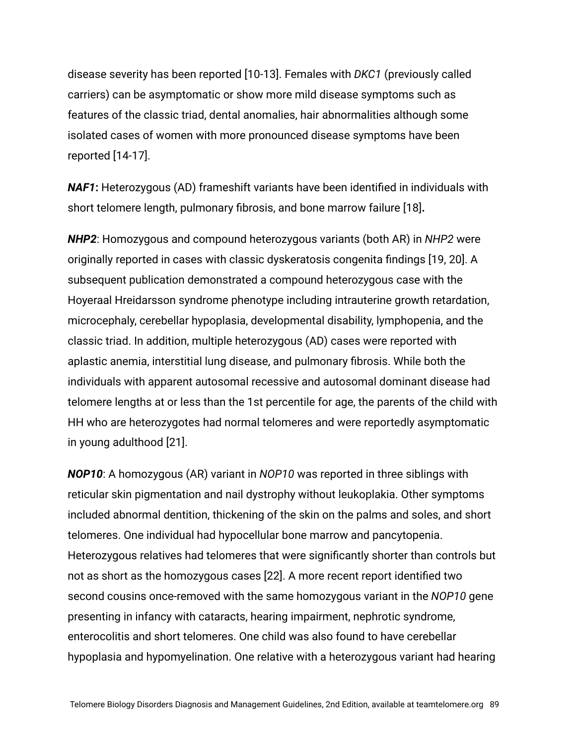disease severity has been reported [10-13]. Females with *DKC1* (previously called carriers) can be asymptomatic or show more mild disease symptoms such as features of the classic triad, dental anomalies, hair abnormalities although some isolated cases of women with more pronounced disease symptoms have been reported [14-17].

*NAF1***:** Heterozygous (AD) frameshift variants have been identified in individuals with short telomere length, pulmonary fibrosis, and bone marrow failure [18]**.**

*NHP2*: Homozygous and compound heterozygous variants (both AR) in *NHP2* were originally reported in cases with classic dyskeratosis congenita findings [19, 20]. A subsequent publication demonstrated a compound heterozygous case with the Hoyeraal Hreidarsson syndrome phenotype including intrauterine growth retardation, microcephaly, cerebellar hypoplasia, developmental disability, lymphopenia, and the classic triad. In addition, multiple heterozygous (AD) cases were reported with aplastic anemia, interstitial lung disease, and pulmonary fibrosis. While both the individuals with apparent autosomal recessive and autosomal dominant disease had telomere lengths at or less than the 1st percentile for age, the parents of the child with HH who are heterozygotes had normal telomeres and were reportedly asymptomatic in young adulthood [21].

*NOP10*: A homozygous (AR) variant in *NOP10* was reported in three siblings with reticular skin pigmentation and nail dystrophy without leukoplakia. Other symptoms included abnormal dentition, thickening of the skin on the palms and soles, and short telomeres. One individual had hypocellular bone marrow and pancytopenia. Heterozygous relatives had telomeres that were significantly shorter than controls but not as short as the homozygous cases [22]. A more recent report identified two second cousins once-removed with the same homozygous variant in the *NOP10* gene presenting in infancy with cataracts, hearing impairment, nephrotic syndrome, enterocolitis and short telomeres. One child was also found to have cerebellar hypoplasia and hypomyelination. One relative with a heterozygous variant had hearing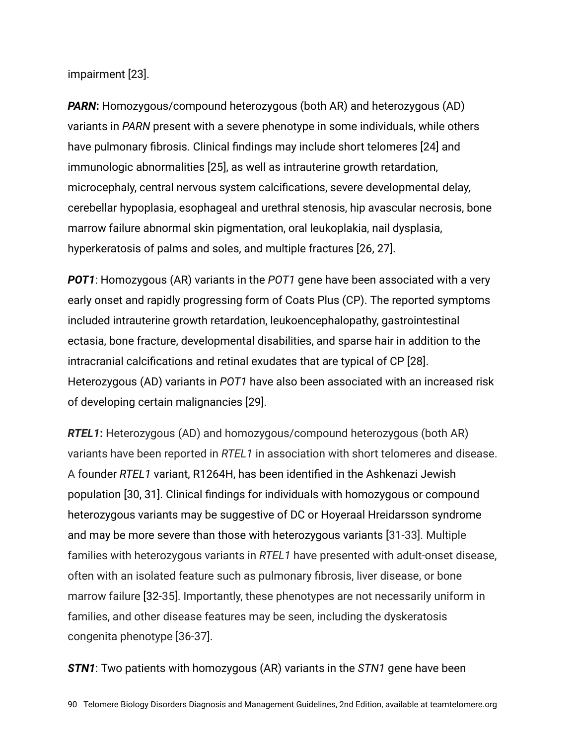impairment [23].

*PARN***:** Homozygous/compound heterozygous (both AR) and heterozygous (AD) variants in *PARN* present with a severe phenotype in some individuals, while others have pulmonary fibrosis. Clinical findings may include short telomeres [24] and immunologic abnormalities [25], as well as intrauterine growth retardation, microcephaly, central nervous system calcifications, severe developmental delay, cerebellar hypoplasia, esophageal and urethral stenosis, hip avascular necrosis, bone marrow failure abnormal skin pigmentation, oral leukoplakia, nail dysplasia, hyperkeratosis of palms and soles, and multiple fractures [26, 27].

*POT1*: Homozygous (AR) variants in the *POT1* gene have been associated with a very early onset and rapidly progressing form of Coats Plus (CP). The reported symptoms included intrauterine growth retardation, leukoencephalopathy, gastrointestinal ectasia, bone fracture, developmental disabilities, and sparse hair in addition to the intracranial calcifications and retinal exudates that are typical of CP [28]. Heterozygous (AD) variants in *POT1* have also been associated with an increased risk of developing certain malignancies [29].

*RTEL1***:** Heterozygous (AD) and homozygous/compound heterozygous (both AR) variants have been reported in *RTEL1* in association with short telomeres and disease. A founder *RTEL1* variant, R1264H, has been identified in the Ashkenazi Jewish population [30, 31]. Clinical findings for individuals with homozygous or compound heterozygous variants may be suggestive of DC or Hoyeraal Hreidarsson syndrome and may be more severe than those with heterozygous variants [31-33]. Multiple families with heterozygous variants in *RTEL1* have presented with adult-onset disease, often with an isolated feature such as pulmonary fibrosis, liver disease, or bone marrow failure [32-35]. Importantly, these phenotypes are not necessarily uniform in families, and other disease features may be seen, including the dyskeratosis congenita phenotype [36-37].

*STN1*: Two patients with homozygous (AR) variants in the *STN1* gene have been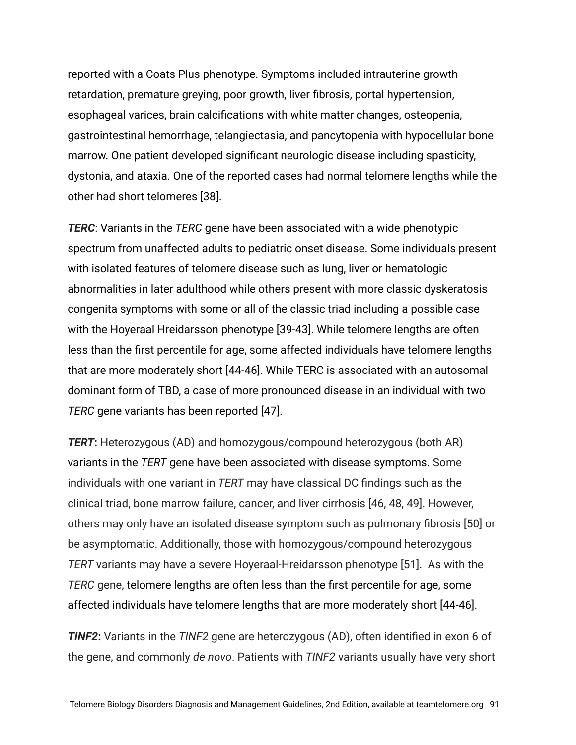reported with a Coats Plus phenotype. Symptoms included intrauterine growth retardation, premature greying, poor growth, liver fibrosis, portal hypertension, esophageal varices, brain calcifications with white matter changes, osteopenia, gastrointestinal hemorrhage, telangiectasia, and pancytopenia with hypocellular bone marrow. One patient developed significant neurologic disease including spasticity, dystonia, and ataxia. One of the reported cases had normal telomere lengths while the other had short telomeres [38].

*TERC*: Variants in the *TERC* gene have been associated with a wide phenotypic spectrum from unaffected adults to pediatric onset disease. Some individuals present with isolated features of telomere disease such as lung, liver or hematologic abnormalities in later adulthood while others present with more classic dyskeratosis congenita symptoms with some or all of the classic triad including a possible case with the Hoyeraal Hreidarsson phenotype [39-43]. While telomere lengths are often less than the first percentile for age, some affected individuals have telomere lengths that are more moderately short [44-46]. While TERC is associated with an autosomal dominant form of TBD, a case of more pronounced disease in an individual with two *TERC* gene variants has been reported [47].

*TERT***:** Heterozygous (AD) and homozygous/compound heterozygous (both AR) variants in the *TERT* gene have been associated with disease symptoms. Some individuals with one variant in *TERT* may have classical DC findings such as the clinical triad, bone marrow failure, cancer, and liver cirrhosis [46, 48, 49]. However, others may only have an isolated disease symptom such as pulmonary fibrosis [50] or be asymptomatic. Additionally, those with homozygous/compound heterozygous *TERT* variants may have a severe Hoyeraal-Hreidarsson phenotype [51]. As with the *TERC* gene, telomere lengths are often less than the first percentile for age, some affected individuals have telomere lengths that are more moderately short [44-46].

*TINF2***:** Variants in the *TINF2* gene are heterozygous (AD), often identified in exon 6 of the gene, and commonly *de novo*. Patients with *TINF2* variants usually have very short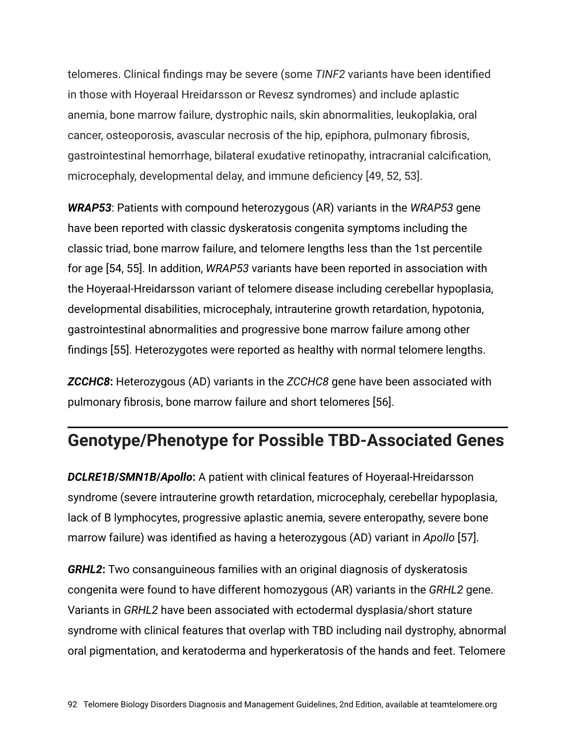telomeres. Clinical findings may be severe (some *TINF2* variants have been identified in those with Hoyeraal Hreidarsson or Revesz syndromes) and include aplastic anemia, bone marrow failure, dystrophic nails, skin abnormalities, leukoplakia, oral cancer, osteoporosis, avascular necrosis of the hip, epiphora, pulmonary fibrosis, gastrointestinal hemorrhage, bilateral exudative retinopathy, intracranial calcification, microcephaly, developmental delay, and immune deficiency [49, 52, 53].

*WRAP53*: Patients with compound heterozygous (AR) variants in the *WRAP53* gene have been reported with classic dyskeratosis congenita symptoms including the classic triad, bone marrow failure, and telomere lengths less than the 1st percentile for age [54, 55]. In addition, *WRAP53* variants have been reported in association with the Hoyeraal-Hreidarsson variant of telomere disease including cerebellar hypoplasia, developmental disabilities, microcephaly, intrauterine growth retardation, hypotonia, gastrointestinal abnormalities and progressive bone marrow failure among other findings [55]. Heterozygotes were reported as healthy with normal telomere lengths.

*ZCCHC8***:** Heterozygous (AD) variants in the *ZCCHC8* gene have been associated with pulmonary fibrosis, bone marrow failure and short telomeres [56].

#### **Genotype/Phenotype for Possible TBD-Associated Genes**

*DCLRE1B***/***SMN1B***/***Apollo***:** A patient with clinical features of Hoyeraal-Hreidarsson syndrome (severe intrauterine growth retardation, microcephaly, cerebellar hypoplasia, lack of B lymphocytes, progressive aplastic anemia, severe enteropathy, severe bone marrow failure) was identified as having a heterozygous (AD) variant in *Apollo* [57].

*GRHL2***:** Two consanguineous families with an original diagnosis of dyskeratosis congenita were found to have different homozygous (AR) variants in the *GRHL2* gene. Variants in *GRHL2* have been associated with ectodermal dysplasia/short stature syndrome with clinical features that overlap with TBD including nail dystrophy, abnormal oral pigmentation, and keratoderma and hyperkeratosis of the hands and feet. Telomere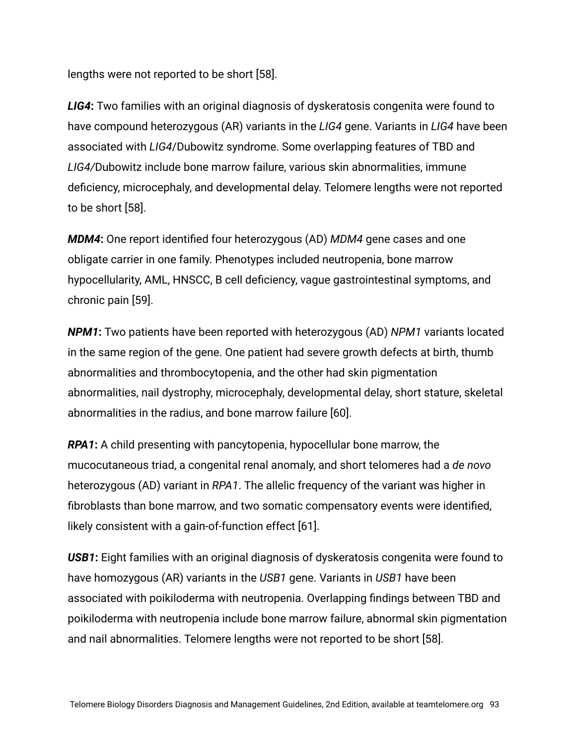lengths were not reported to be short [58].

*LIG4***:** Two families with an original diagnosis of dyskeratosis congenita were found to have compound heterozygous (AR) variants in the *LIG4* gene. Variants in *LIG4* have been associated with *LIG4*/Dubowitz syndrome. Some overlapping features of TBD and *LIG4/*Dubowitz include bone marrow failure, various skin abnormalities, immune deficiency, microcephaly, and developmental delay. Telomere lengths were not reported to be short [58].

*MDM4***:** One report identified four heterozygous (AD) *MDM4* gene cases and one obligate carrier in one family. Phenotypes included neutropenia, bone marrow hypocellularity, AML, HNSCC, B cell deficiency, vague gastrointestinal symptoms, and chronic pain [59].

*NPM1***:** Two patients have been reported with heterozygous (AD) *NPM1* variants located in the same region of the gene. One patient had severe growth defects at birth, thumb abnormalities and thrombocytopenia, and the other had skin pigmentation abnormalities, nail dystrophy, microcephaly, developmental delay, short stature, skeletal abnormalities in the radius, and bone marrow failure [60].

*RPA1***:** A child presenting with pancytopenia, hypocellular bone marrow, the mucocutaneous triad, a congenital renal anomaly, and short telomeres had a *de novo* heterozygous (AD) variant in *RPA1*. The allelic frequency of the variant was higher in fibroblasts than bone marrow, and two somatic compensatory events were identified, likely consistent with a gain-of-function effect [61].

*USB1***:** Eight families with an original diagnosis of dyskeratosis congenita were found to have homozygous (AR) variants in the *USB1* gene. Variants in *USB1* have been associated with poikiloderma with neutropenia. Overlapping findings between TBD and poikiloderma with neutropenia include bone marrow failure, abnormal skin pigmentation and nail abnormalities. Telomere lengths were not reported to be short [58].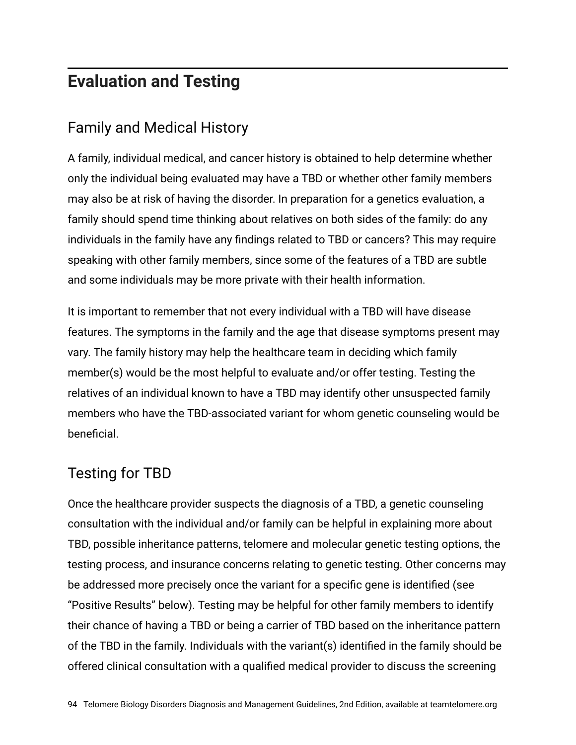#### **Evaluation and Testing**

#### Family and Medical History

A family, individual medical, and cancer history is obtained to help determine whether only the individual being evaluated may have a TBD or whether other family members may also be at risk of having the disorder. In preparation for a genetics evaluation, a family should spend time thinking about relatives on both sides of the family: do any individuals in the family have any findings related to TBD or cancers? This may require speaking with other family members, since some of the features of a TBD are subtle and some individuals may be more private with their health information.

It is important to remember that not every individual with a TBD will have disease features. The symptoms in the family and the age that disease symptoms present may vary. The family history may help the healthcare team in deciding which family member(s) would be the most helpful to evaluate and/or offer testing. Testing the relatives of an individual known to have a TBD may identify other unsuspected family members who have the TBD-associated variant for whom genetic counseling would be beneficial.

#### Testing for TBD

Once the healthcare provider suspects the diagnosis of a TBD, a genetic counseling consultation with the individual and/or family can be helpful in explaining more about TBD, possible inheritance patterns, telomere and molecular genetic testing options, the testing process, and insurance concerns relating to genetic testing. Other concerns may be addressed more precisely once the variant for a specific gene is identified (see "Positive Results" below). Testing may be helpful for other family members to identify their chance of having a TBD or being a carrier of TBD based on the inheritance pattern of the TBD in the family. Individuals with the variant(s) identified in the family should be offered clinical consultation with a qualified medical provider to discuss the screening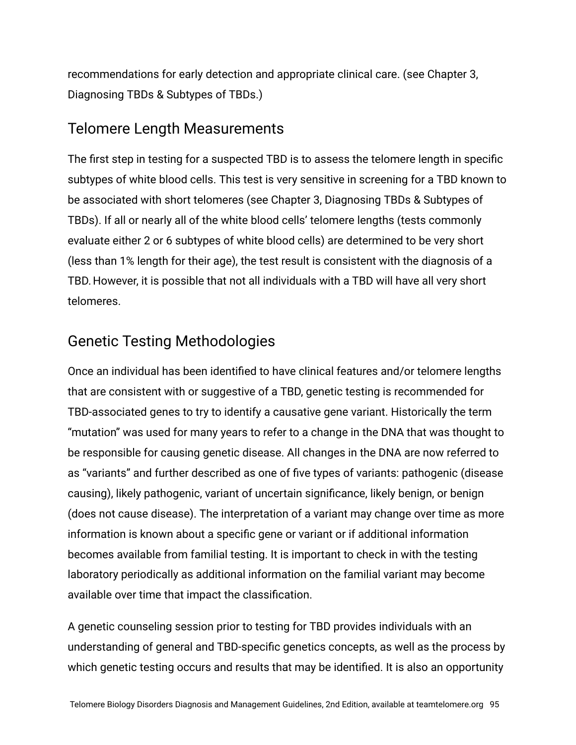recommendations for early detection and appropriate clinical care. (see Chapter 3, Diagnosing TBDs & Subtypes of TBDs.)

#### Telomere Length Measurements

The first step in testing for a suspected TBD is to assess the telomere length in specific subtypes of white blood cells. This test is very sensitive in screening for a TBD known to be associated with short telomeres (see Chapter 3, Diagnosing TBDs & Subtypes of TBDs). If all or nearly all of the white blood cells' telomere lengths (tests commonly evaluate either 2 or 6 subtypes of white blood cells) are determined to be very short (less than 1% length for their age), the test result is consistent with the diagnosis of a TBD. However, it is possible that not all individuals with a TBD will have all very short telomeres.

#### Genetic Testing Methodologies

Once an individual has been identified to have clinical features and/or telomere lengths that are consistent with or suggestive of a TBD, genetic testing is recommended for TBD-associated genes to try to identify a causative gene variant. Historically the term "mutation" was used for many years to refer to a change in the DNA that was thought to be responsible for causing genetic disease. All changes in the DNA are now referred to as "variants" and further described as one of five types of variants: pathogenic (disease causing), likely pathogenic, variant of uncertain significance, likely benign, or benign (does not cause disease). The interpretation of a variant may change over time as more information is known about a specific gene or variant or if additional information becomes available from familial testing. It is important to check in with the testing laboratory periodically as additional information on the familial variant may become available over time that impact the classification.

A genetic counseling session prior to testing for TBD provides individuals with an understanding of general and TBD-specific genetics concepts, as well as the process by which genetic testing occurs and results that may be identified. It is also an opportunity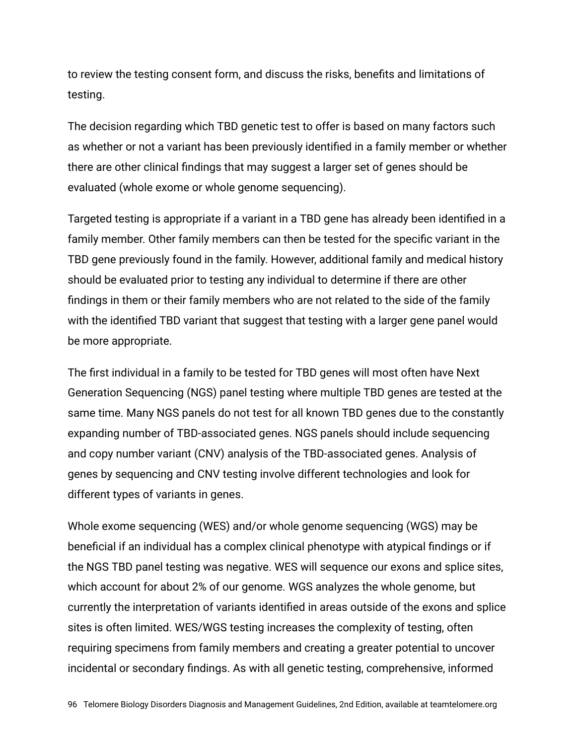to review the testing consent form, and discuss the risks, benefits and limitations of testing.

The decision regarding which TBD genetic test to offer is based on many factors such as whether or not a variant has been previously identified in a family member or whether there are other clinical findings that may suggest a larger set of genes should be evaluated (whole exome or whole genome sequencing).

Targeted testing is appropriate if a variant in a TBD gene has already been identified in a family member. Other family members can then be tested for the specific variant in the TBD gene previously found in the family. However, additional family and medical history should be evaluated prior to testing any individual to determine if there are other findings in them or their family members who are not related to the side of the family with the identified TBD variant that suggest that testing with a larger gene panel would be more appropriate.

The first individual in a family to be tested for TBD genes will most often have Next Generation Sequencing (NGS) panel testing where multiple TBD genes are tested at the same time. Many NGS panels do not test for all known TBD genes due to the constantly expanding number of TBD-associated genes. NGS panels should include sequencing and copy number variant (CNV) analysis of the TBD-associated genes. Analysis of genes by sequencing and CNV testing involve different technologies and look for different types of variants in genes.

Whole exome sequencing (WES) and/or whole genome sequencing (WGS) may be beneficial if an individual has a complex clinical phenotype with atypical findings or if the NGS TBD panel testing was negative. WES will sequence our exons and splice sites, which account for about 2% of our genome. WGS analyzes the whole genome, but currently the interpretation of variants identified in areas outside of the exons and splice sites is often limited. WES/WGS testing increases the complexity of testing, often requiring specimens from family members and creating a greater potential to uncover incidental or secondary findings. As with all genetic testing, comprehensive, informed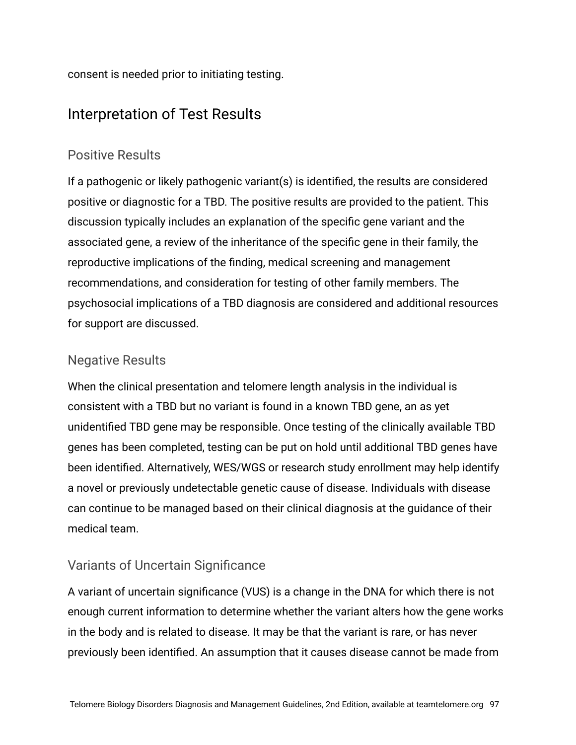consent is needed prior to initiating testing.

#### Interpretation of Test Results

#### Positive Results

If a pathogenic or likely pathogenic variant(s) is identified, the results are considered positive or diagnostic for a TBD. The positive results are provided to the patient. This discussion typically includes an explanation of the specific gene variant and the associated gene, a review of the inheritance of the specific gene in their family, the reproductive implications of the finding, medical screening and management recommendations, and consideration for testing of other family members. The psychosocial implications of a TBD diagnosis are considered and additional resources for support are discussed.

#### Negative Results

When the clinical presentation and telomere length analysis in the individual is consistent with a TBD but no variant is found in a known TBD gene, an as yet unidentified TBD gene may be responsible. Once testing of the clinically available TBD genes has been completed, testing can be put on hold until additional TBD genes have been identified. Alternatively, WES/WGS or research study enrollment may help identify a novel or previously undetectable genetic cause of disease. Individuals with disease can continue to be managed based on their clinical diagnosis at the guidance of their medical team.

#### Variants of Uncertain Significance

A variant of uncertain significance (VUS) is a change in the DNA for which there is not enough current information to determine whether the variant alters how the gene works in the body and is related to disease. It may be that the variant is rare, or has never previously been identified. An assumption that it causes disease cannot be made from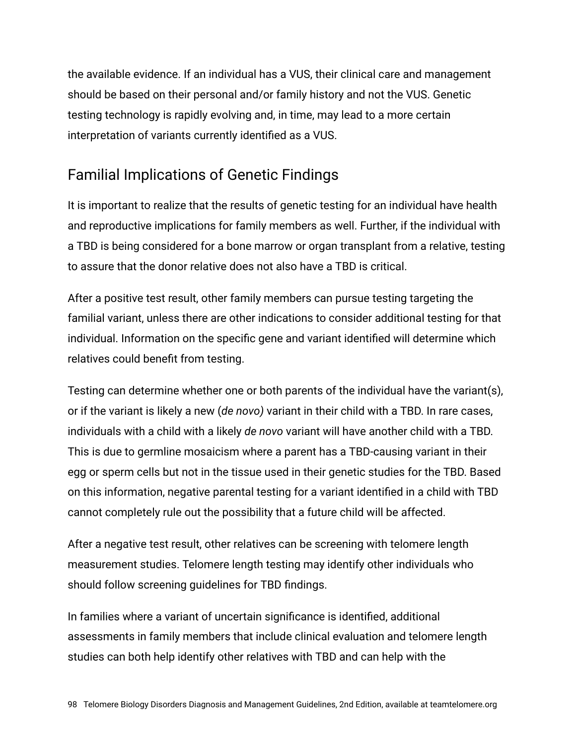the available evidence. If an individual has a VUS, their clinical care and management should be based on their personal and/or family history and not the VUS. Genetic testing technology is rapidly evolving and, in time, may lead to a more certain interpretation of variants currently identified as a VUS.

#### Familial Implications of Genetic Findings

It is important to realize that the results of genetic testing for an individual have health and reproductive implications for family members as well. Further, if the individual with a TBD is being considered for a bone marrow or organ transplant from a relative, testing to assure that the donor relative does not also have a TBD is critical.

After a positive test result, other family members can pursue testing targeting the familial variant, unless there are other indications to consider additional testing for that individual. Information on the specific gene and variant identified will determine which relatives could benefit from testing.

Testing can determine whether one or both parents of the individual have the variant(s), or if the variant is likely a new (*de novo)* variant in their child with a TBD. In rare cases, individuals with a child with a likely *de novo* variant will have another child with a TBD. This is due to germline mosaicism where a parent has a TBD-causing variant in their egg or sperm cells but not in the tissue used in their genetic studies for the TBD. Based on this information, negative parental testing for a variant identified in a child with TBD cannot completely rule out the possibility that a future child will be affected.

After a negative test result, other relatives can be screening with telomere length measurement studies. Telomere length testing may identify other individuals who should follow screening guidelines for TBD findings.

In families where a variant of uncertain significance is identified, additional assessments in family members that include clinical evaluation and telomere length studies can both help identify other relatives with TBD and can help with the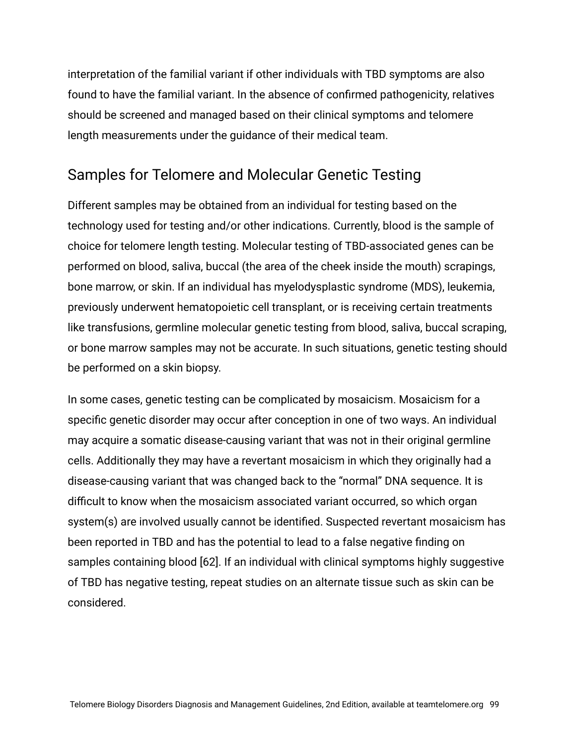interpretation of the familial variant if other individuals with TBD symptoms are also found to have the familial variant. In the absence of confirmed pathogenicity, relatives should be screened and managed based on their clinical symptoms and telomere length measurements under the guidance of their medical team.

#### Samples for Telomere and Molecular Genetic Testing

Different samples may be obtained from an individual for testing based on the technology used for testing and/or other indications. Currently, blood is the sample of choice for telomere length testing. Molecular testing of TBD-associated genes can be performed on blood, saliva, buccal (the area of the cheek inside the mouth) scrapings, bone marrow, or skin. If an individual has myelodysplastic syndrome (MDS), leukemia, previously underwent hematopoietic cell transplant, or is receiving certain treatments like transfusions, germline molecular genetic testing from blood, saliva, buccal scraping, or bone marrow samples may not be accurate. In such situations, genetic testing should be performed on a skin biopsy.

In some cases, genetic testing can be complicated by mosaicism. Mosaicism for a specific genetic disorder may occur after conception in one of two ways. An individual may acquire a somatic disease-causing variant that was not in their original germline cells. Additionally they may have a revertant mosaicism in which they originally had a disease-causing variant that was changed back to the "normal" DNA sequence. It is difficult to know when the mosaicism associated variant occurred, so which organ system(s) are involved usually cannot be identified. Suspected revertant mosaicism has been reported in TBD and has the potential to lead to a false negative finding on samples containing blood [62]. If an individual with clinical symptoms highly suggestive of TBD has negative testing, repeat studies on an alternate tissue such as skin can be considered.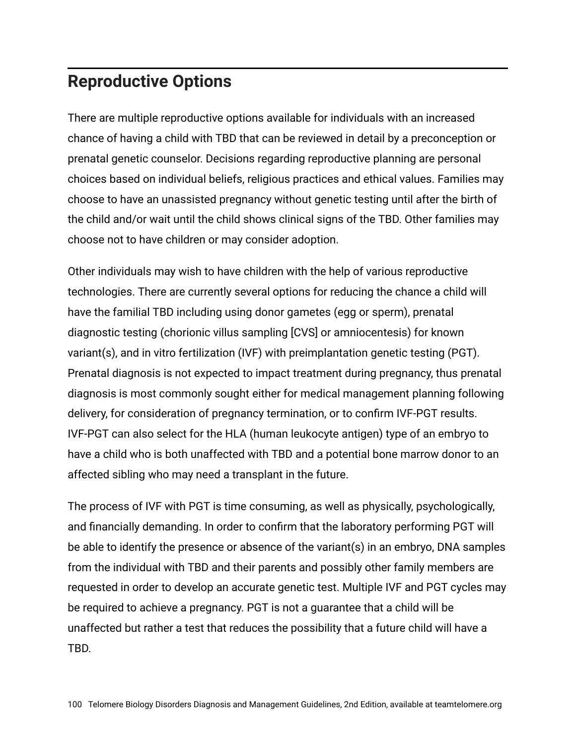## **Reproductive Options**

There are multiple reproductive options available for individuals with an increased chance of having a child with TBD that can be reviewed in detail by a preconception or prenatal genetic counselor. Decisions regarding reproductive planning are personal choices based on individual beliefs, religious practices and ethical values. Families may choose to have an unassisted pregnancy without genetic testing until after the birth of the child and/or wait until the child shows clinical signs of the TBD. Other families may choose not to have children or may consider adoption.

Other individuals may wish to have children with the help of various reproductive technologies. There are currently several options for reducing the chance a child will have the familial TBD including using donor gametes (egg or sperm), prenatal diagnostic testing (chorionic villus sampling [CVS] or amniocentesis) for known variant(s), and in vitro fertilization (IVF) with preimplantation genetic testing (PGT). Prenatal diagnosis is not expected to impact treatment during pregnancy, thus prenatal diagnosis is most commonly sought either for medical management planning following delivery, for consideration of pregnancy termination, or to confirm IVF-PGT results. IVF-PGT can also select for the HLA (human leukocyte antigen) type of an embryo to have a child who is both unaffected with TBD and a potential bone marrow donor to an affected sibling who may need a transplant in the future.

The process of IVF with PGT is time consuming, as well as physically, psychologically, and financially demanding. In order to confirm that the laboratory performing PGT will be able to identify the presence or absence of the variant(s) in an embryo, DNA samples from the individual with TBD and their parents and possibly other family members are requested in order to develop an accurate genetic test. Multiple IVF and PGT cycles may be required to achieve a pregnancy. PGT is not a guarantee that a child will be unaffected but rather a test that reduces the possibility that a future child will have a TBD.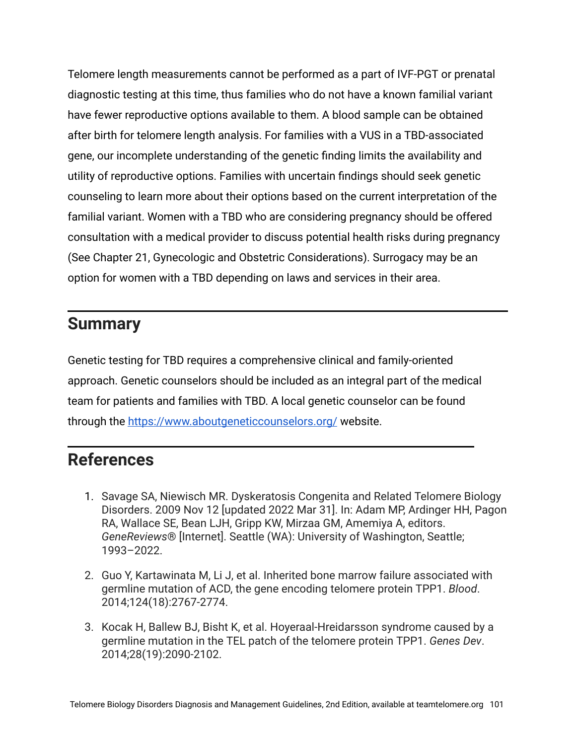Telomere length measurements cannot be performed as a part of IVF-PGT or prenatal diagnostic testing at this time, thus families who do not have a known familial variant have fewer reproductive options available to them. A blood sample can be obtained after birth for telomere length analysis. For families with a VUS in a TBD-associated gene, our incomplete understanding of the genetic finding limits the availability and utility of reproductive options. Families with uncertain findings should seek genetic counseling to learn more about their options based on the current interpretation of the familial variant. Women with a TBD who are considering pregnancy should be offered consultation with a medical provider to discuss potential health risks during pregnancy (See Chapter 21, Gynecologic and Obstetric Considerations). Surrogacy may be an option for women with a TBD depending on laws and services in their area.

#### **Summary**

Genetic testing for TBD requires a comprehensive clinical and family-oriented approach. Genetic counselors should be included as an integral part of the medical team for patients and families with TBD. A local genetic counselor can be found through the <https://www.aboutgeneticcounselors.org/> website.

#### **References**

- 1. Savage SA, Niewisch MR. Dyskeratosis Congenita and Related Telomere Biology Disorders. 2009 Nov 12 [updated 2022 Mar 31]. In: Adam MP, Ardinger HH, Pagon RA, Wallace SE, Bean LJH, Gripp KW, Mirzaa GM, Amemiya A, editors. *GeneReviews*® [Internet]. Seattle (WA): University of Washington, Seattle; 1993–2022.
- 2. Guo Y, Kartawinata M, Li J, et al. Inherited bone marrow failure associated with germline mutation of ACD, the gene encoding telomere protein TPP1. *Blood*. 2014;124(18):2767-2774.
- 3. Kocak H, Ballew BJ, Bisht K, et al. Hoyeraal-Hreidarsson syndrome caused by a germline mutation in the TEL patch of the telomere protein TPP1. *Genes Dev*. 2014;28(19):2090-2102.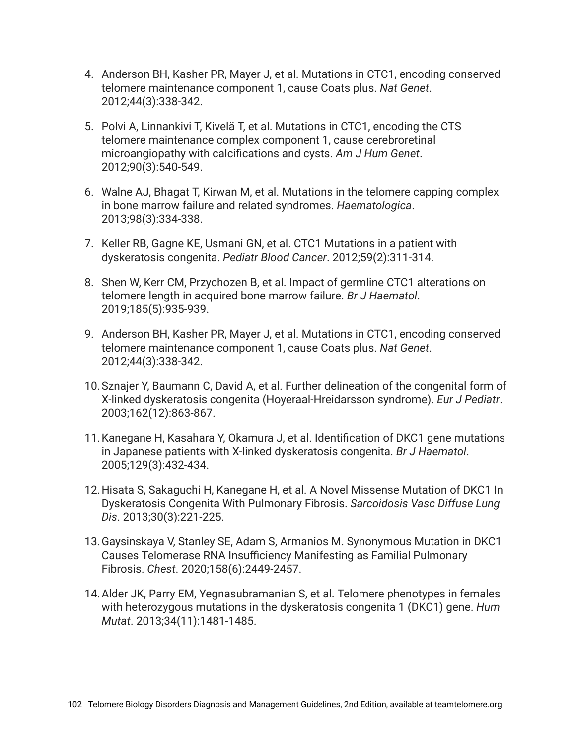- 4. Anderson BH, Kasher PR, Mayer J, et al. Mutations in CTC1, encoding conserved telomere maintenance component 1, cause Coats plus. *Nat Genet*. 2012;44(3):338-342.
- 5. Polvi A, Linnankivi T, Kivelä T, et al. Mutations in CTC1, encoding the CTS telomere maintenance complex component 1, cause cerebroretinal microangiopathy with calcifications and cysts. *Am J Hum Genet*. 2012;90(3):540-549.
- 6. Walne AJ, Bhagat T, Kirwan M, et al. Mutations in the telomere capping complex in bone marrow failure and related syndromes. *Haematologica*. 2013;98(3):334-338.
- 7. Keller RB, Gagne KE, Usmani GN, et al. CTC1 Mutations in a patient with dyskeratosis congenita. *Pediatr Blood Cancer*. 2012;59(2):311-314.
- 8. Shen W, Kerr CM, Przychozen B, et al. Impact of germline CTC1 alterations on telomere length in acquired bone marrow failure. *Br J Haematol*. 2019;185(5):935-939.
- 9. Anderson BH, Kasher PR, Mayer J, et al. Mutations in CTC1, encoding conserved telomere maintenance component 1, cause Coats plus. *Nat Genet*. 2012;44(3):338-342.
- 10.Sznajer Y, Baumann C, David A, et al. Further delineation of the congenital form of X-linked dyskeratosis congenita (Hoyeraal-Hreidarsson syndrome). *Eur J Pediatr*. 2003;162(12):863-867.
- 11.Kanegane H, Kasahara Y, Okamura J, et al. Identification of DKC1 gene mutations in Japanese patients with X-linked dyskeratosis congenita. *Br J Haematol*. 2005;129(3):432-434.
- 12.Hisata S, Sakaguchi H, Kanegane H, et al. A Novel Missense Mutation of DKC1 In Dyskeratosis Congenita With Pulmonary Fibrosis. *Sarcoidosis Vasc Diffuse Lung Dis*. 2013;30(3):221-225.
- 13.Gaysinskaya V, Stanley SE, Adam S, Armanios M. Synonymous Mutation in DKC1 Causes Telomerase RNA Insufficiency Manifesting as Familial Pulmonary Fibrosis. *Chest*. 2020;158(6):2449-2457.
- 14.Alder JK, Parry EM, Yegnasubramanian S, et al. Telomere phenotypes in females with heterozygous mutations in the dyskeratosis congenita 1 (DKC1) gene. *Hum Mutat*. 2013;34(11):1481-1485.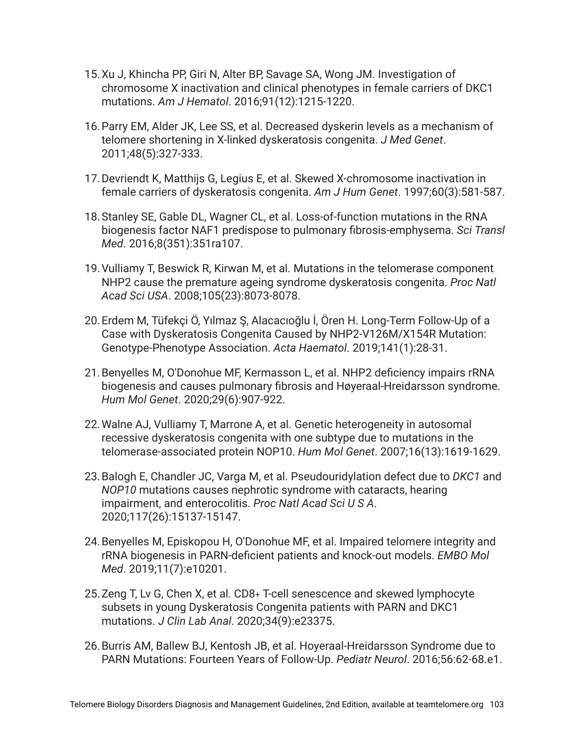- 15.Xu J, Khincha PP, Giri N, Alter BP, Savage SA, Wong JM. Investigation of chromosome X inactivation and clinical phenotypes in female carriers of DKC1 mutations. *Am J Hematol*. 2016;91(12):1215-1220.
- 16.Parry EM, Alder JK, Lee SS, et al. Decreased dyskerin levels as a mechanism of telomere shortening in X-linked dyskeratosis congenita. *J Med Genet*. 2011;48(5):327-333.
- 17.Devriendt K, Matthijs G, Legius E, et al. Skewed X-chromosome inactivation in female carriers of dyskeratosis congenita. *Am J Hum Genet*. 1997;60(3):581-587.
- 18.Stanley SE, Gable DL, Wagner CL, et al. Loss-of-function mutations in the RNA biogenesis factor NAF1 predispose to pulmonary fibrosis-emphysema. *Sci Transl Med*. 2016;8(351):351ra107.
- 19.Vulliamy T, Beswick R, Kirwan M, et al. Mutations in the telomerase component NHP2 cause the premature ageing syndrome dyskeratosis congenita. *Proc Natl Acad Sci USA*. 2008;105(23):8073-8078.
- 20.Erdem M, Tüfekçi Ö, Yılmaz Ş, Alacacıoğlu İ, Ören H. Long-Term Follow-Up of a Case with Dyskeratosis Congenita Caused by NHP2-V126M/X154R Mutation: Genotype-Phenotype Association. *Acta Haematol*. 2019;141(1):28-31.
- 21.Benyelles M, O'Donohue MF, Kermasson L, et al. NHP2 deficiency impairs rRNA biogenesis and causes pulmonary fibrosis and Høyeraal-Hreidarsson syndrome. *Hum Mol Genet*. 2020;29(6):907-922.
- 22.Walne AJ, Vulliamy T, Marrone A, et al. Genetic heterogeneity in autosomal recessive dyskeratosis congenita with one subtype due to mutations in the telomerase-associated protein NOP10. *Hum Mol Genet*. 2007;16(13):1619-1629.
- 23.Balogh E, Chandler JC, Varga M, et al. Pseudouridylation defect due to *DKC1* and *NOP10* mutations causes nephrotic syndrome with cataracts, hearing impairment, and enterocolitis. *Proc Natl Acad Sci U S A*. 2020;117(26):15137-15147.
- 24.Benyelles M, Episkopou H, O'Donohue MF, et al. Impaired telomere integrity and rRNA biogenesis in PARN-deficient patients and knock-out models. *EMBO Mol Med*. 2019;11(7):e10201.
- 25.Zeng T, Lv G, Chen X, et al. CD8+ T-cell senescence and skewed lymphocyte subsets in young Dyskeratosis Congenita patients with PARN and DKC1 mutations. *J Clin Lab Anal*. 2020;34(9):e23375.
- 26.Burris AM, Ballew BJ, Kentosh JB, et al. Hoyeraal-Hreidarsson Syndrome due to PARN Mutations: Fourteen Years of Follow-Up. *Pediatr Neurol*. 2016;56:62-68.e1.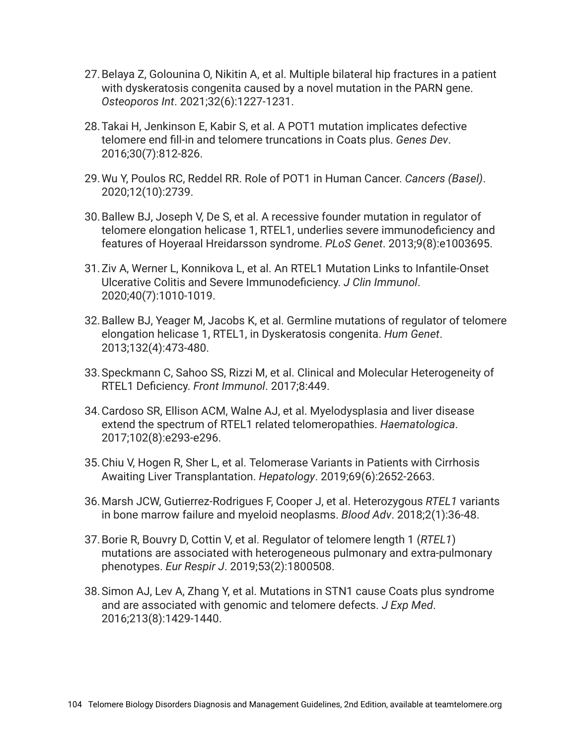- 27.Belaya Z, Golounina O, Nikitin A, et al. Multiple bilateral hip fractures in a patient with dyskeratosis congenita caused by a novel mutation in the PARN gene. *Osteoporos Int*. 2021;32(6):1227-1231.
- 28.Takai H, Jenkinson E, Kabir S, et al. A POT1 mutation implicates defective telomere end fill-in and telomere truncations in Coats plus. *Genes Dev*. 2016;30(7):812-826.
- 29.Wu Y, Poulos RC, Reddel RR. Role of POT1 in Human Cancer. *Cancers (Basel)*. 2020;12(10):2739.
- 30.Ballew BJ, Joseph V, De S, et al. A recessive founder mutation in regulator of telomere elongation helicase 1, RTEL1, underlies severe immunodeficiency and features of Hoyeraal Hreidarsson syndrome. *PLoS Genet*. 2013;9(8):e1003695.
- 31.Ziv A, Werner L, Konnikova L, et al. An RTEL1 Mutation Links to Infantile-Onset Ulcerative Colitis and Severe Immunodeficiency. *J Clin Immunol*. 2020;40(7):1010-1019.
- 32.Ballew BJ, Yeager M, Jacobs K, et al. Germline mutations of regulator of telomere elongation helicase 1, RTEL1, in Dyskeratosis congenita. *Hum Genet*. 2013;132(4):473-480.
- 33.Speckmann C, Sahoo SS, Rizzi M, et al. Clinical and Molecular Heterogeneity of RTEL1 Deficiency. *Front Immunol*. 2017;8:449.
- 34.Cardoso SR, Ellison ACM, Walne AJ, et al. Myelodysplasia and liver disease extend the spectrum of RTEL1 related telomeropathies. *Haematologica*. 2017;102(8):e293-e296.
- 35.Chiu V, Hogen R, Sher L, et al. Telomerase Variants in Patients with Cirrhosis Awaiting Liver Transplantation. *Hepatology*. 2019;69(6):2652-2663.
- 36.Marsh JCW, Gutierrez-Rodrigues F, Cooper J, et al. Heterozygous *RTEL1* variants in bone marrow failure and myeloid neoplasms. *Blood Adv*. 2018;2(1):36-48.
- 37.Borie R, Bouvry D, Cottin V, et al. Regulator of telomere length 1 (*RTEL1*) mutations are associated with heterogeneous pulmonary and extra-pulmonary phenotypes. *Eur Respir J*. 2019;53(2):1800508.
- 38.Simon AJ, Lev A, Zhang Y, et al. Mutations in STN1 cause Coats plus syndrome and are associated with genomic and telomere defects. *J Exp Med*. 2016;213(8):1429-1440.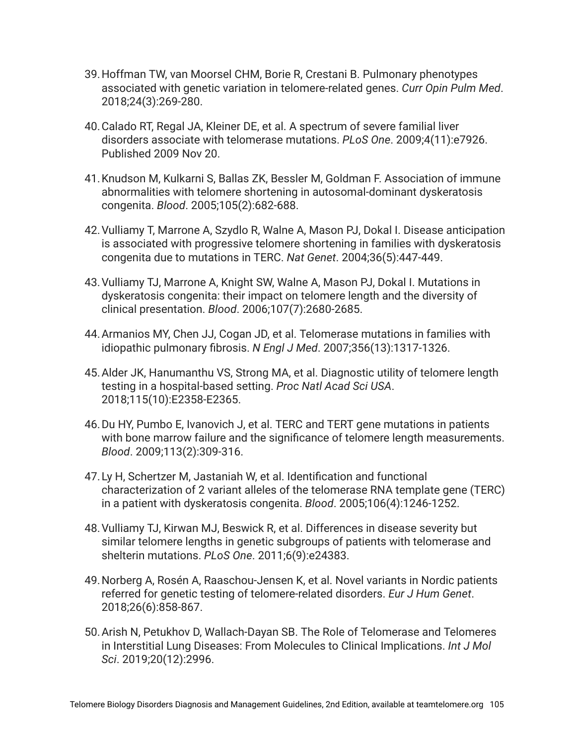- 39.Hoffman TW, van Moorsel CHM, Borie R, Crestani B. Pulmonary phenotypes associated with genetic variation in telomere-related genes. *Curr Opin Pulm Med*. 2018;24(3):269-280.
- 40.Calado RT, Regal JA, Kleiner DE, et al. A spectrum of severe familial liver disorders associate with telomerase mutations. *PLoS One*. 2009;4(11):e7926. Published 2009 Nov 20.
- 41.Knudson M, Kulkarni S, Ballas ZK, Bessler M, Goldman F. Association of immune abnormalities with telomere shortening in autosomal-dominant dyskeratosis congenita. *Blood*. 2005;105(2):682-688.
- 42.Vulliamy T, Marrone A, Szydlo R, Walne A, Mason PJ, Dokal I. Disease anticipation is associated with progressive telomere shortening in families with dyskeratosis congenita due to mutations in TERC. *Nat Genet*. 2004;36(5):447-449.
- 43.Vulliamy TJ, Marrone A, Knight SW, Walne A, Mason PJ, Dokal I. Mutations in dyskeratosis congenita: their impact on telomere length and the diversity of clinical presentation. *Blood*. 2006;107(7):2680-2685.
- 44.Armanios MY, Chen JJ, Cogan JD, et al. Telomerase mutations in families with idiopathic pulmonary fibrosis. *N Engl J Med*. 2007;356(13):1317-1326.
- 45.Alder JK, Hanumanthu VS, Strong MA, et al. Diagnostic utility of telomere length testing in a hospital-based setting. *Proc Natl Acad Sci USA*. 2018;115(10):E2358-E2365.
- 46.Du HY, Pumbo E, Ivanovich J, et al. TERC and TERT gene mutations in patients with bone marrow failure and the significance of telomere length measurements. *Blood*. 2009;113(2):309-316.
- 47.Ly H, Schertzer M, Jastaniah W, et al. Identification and functional characterization of 2 variant alleles of the telomerase RNA template gene (TERC) in a patient with dyskeratosis congenita. *Blood*. 2005;106(4):1246-1252.
- 48.Vulliamy TJ, Kirwan MJ, Beswick R, et al. Differences in disease severity but similar telomere lengths in genetic subgroups of patients with telomerase and shelterin mutations. *PLoS One*. 2011;6(9):e24383.
- 49.Norberg A, Rosén A, Raaschou-Jensen K, et al. Novel variants in Nordic patients referred for genetic testing of telomere-related disorders. *Eur J Hum Genet*. 2018;26(6):858-867.
- 50.Arish N, Petukhov D, Wallach-Dayan SB. The Role of Telomerase and Telomeres in Interstitial Lung Diseases: From Molecules to Clinical Implications. *Int J Mol Sci*. 2019;20(12):2996.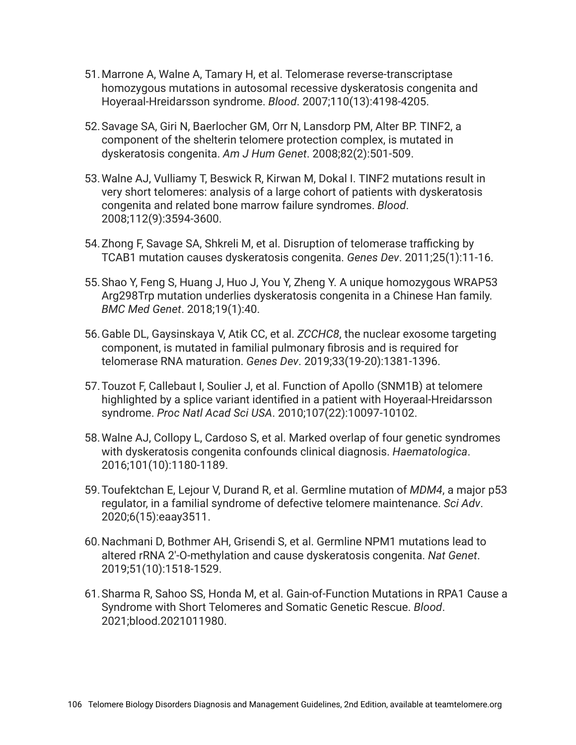- 51.Marrone A, Walne A, Tamary H, et al. Telomerase reverse-transcriptase homozygous mutations in autosomal recessive dyskeratosis congenita and Hoyeraal-Hreidarsson syndrome. *Blood*. 2007;110(13):4198-4205.
- 52.Savage SA, Giri N, Baerlocher GM, Orr N, Lansdorp PM, Alter BP. TINF2, a component of the shelterin telomere protection complex, is mutated in dyskeratosis congenita. *Am J Hum Genet*. 2008;82(2):501-509.
- 53.Walne AJ, Vulliamy T, Beswick R, Kirwan M, Dokal I. TINF2 mutations result in very short telomeres: analysis of a large cohort of patients with dyskeratosis congenita and related bone marrow failure syndromes. *Blood*. 2008;112(9):3594-3600.
- 54.Zhong F, Savage SA, Shkreli M, et al. Disruption of telomerase trafficking by TCAB1 mutation causes dyskeratosis congenita. *Genes Dev*. 2011;25(1):11-16.
- 55.Shao Y, Feng S, Huang J, Huo J, You Y, Zheng Y. A unique homozygous WRAP53 Arg298Trp mutation underlies dyskeratosis congenita in a Chinese Han family. *BMC Med Genet*. 2018;19(1):40.
- 56.Gable DL, Gaysinskaya V, Atik CC, et al. *ZCCHC8*, the nuclear exosome targeting component, is mutated in familial pulmonary fibrosis and is required for telomerase RNA maturation. *Genes Dev*. 2019;33(19-20):1381-1396.
- 57.Touzot F, Callebaut I, Soulier J, et al. Function of Apollo (SNM1B) at telomere highlighted by a splice variant identified in a patient with Hoyeraal-Hreidarsson syndrome. *Proc Natl Acad Sci USA*. 2010;107(22):10097-10102.
- 58.Walne AJ, Collopy L, Cardoso S, et al. Marked overlap of four genetic syndromes with dyskeratosis congenita confounds clinical diagnosis. *Haematologica*. 2016;101(10):1180-1189.
- 59.Toufektchan E, Lejour V, Durand R, et al. Germline mutation of *MDM4*, a major p53 regulator, in a familial syndrome of defective telomere maintenance. *Sci Adv*. 2020;6(15):eaay3511.
- 60.Nachmani D, Bothmer AH, Grisendi S, et al. Germline NPM1 mutations lead to altered rRNA 2'-O-methylation and cause dyskeratosis congenita. *Nat Genet*. 2019;51(10):1518-1529.
- 61.Sharma R, Sahoo SS, Honda M, et al. Gain-of-Function Mutations in RPA1 Cause a Syndrome with Short Telomeres and Somatic Genetic Rescue. *Blood*. 2021;blood.2021011980.